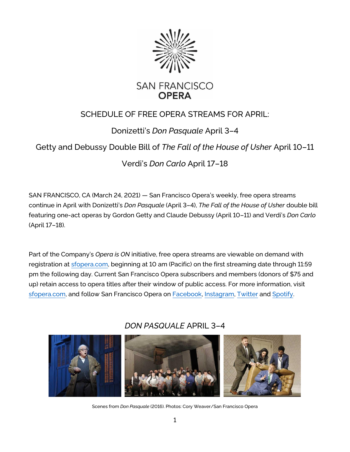

# **SAN FRANCISCO OPERA**

### SCHEDULE OF FREE OPERA STREAMS FOR APRIL:

## Donizetti's *Don Pasquale* April 3–4

### Getty and Debussy Double Bill of *The Fall of the House of Usher* April 10–11

## Verdi's *Don Carlo* April 17–18

SAN FRANCISCO, CA (March 24, 2021) — San Francisco Opera's weekly, free opera streams continue in April with Donizetti's *Don Pasquale* (April 3–4), *The Fall of the House of Usher* double bill featuring one-act operas by Gordon Getty and Claude Debussy (April 10–11) and Verdi's *Don Carlo* (April 17–18).

Part of the Company's *Opera is ON* initiative, free opera streams are viewable on demand with registration at [sfopera.com,](https://sfopera.com/) beginning at 10 am (Pacific) on the first streaming date through 11:59 pm the following day. Current San Francisco Opera subscribers and members (donors of \$75 and up) retain access to opera titles after their window of public access. For more information, visit [sfopera.com,](https://sfopera.com/) and follow San Francisco Opera on [Facebook,](https://www.facebook.com/SFOpera/) [Instagram,](https://www.instagram.com/sfopera/) [Twitter](https://twitter.com/sfopera) and [Spotify.](https://open.spotify.com/user/xmk4cnc5kdd817w40hwx805z5?si=Ly5TMcKUS7e8vH8INTUqTA)



*DON PASQUALE* APRIL 3–4

Scenes from *Don Pasquale* (2016). Photos: Cory Weaver/San Francisco Opera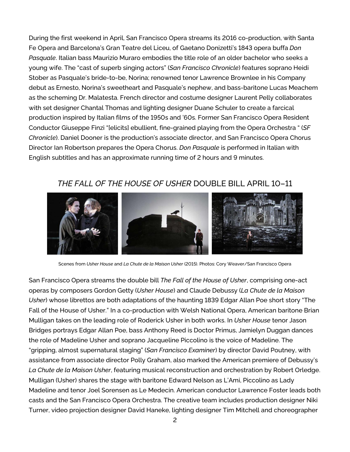During the first weekend in April, San Francisco Opera streams its 2016 co-production, with Santa Fe Opera and Barcelona's Gran Teatre del Liceu, of Gaetano Donizetti's 1843 opera buffa *Don Pasquale*. Italian bass Maurizio Muraro embodies the title role of an older bachelor who seeks a young wife. The "cast of superb singing actors" (*San Francisco Chronicle*) features soprano Heidi Stober as Pasquale's bride-to-be, Norina; renowned tenor Lawrence Brownlee in his Company debut as Ernesto, Norina's sweetheart and Pasquale's nephew, and bass-baritone Lucas Meachem as the scheming Dr. Malatesta. French director and costume designer Laurent Pelly collaborates with set designer Chantal Thomas and lighting designer Duane Schuler to create a farcical production inspired by Italian films of the 1950s and '60s. Former San Francisco Opera Resident Conductor Giuseppe Finzi "[elicits] ebullient, fine-grained playing from the Opera Orchestra " (*SF Chronicle*). Daniel Dooner is the production's associate director, and San Francisco Opera Chorus Director Ian Robertson prepares the Opera Chorus. *Don Pasquale* is performed in Italian with English subtitles and has an approximate running time of 2 hours and 9 minutes.

#### *THE FALL OF THE HOUSE OF USHER* DOUBLE BILL APRIL 10–11



Scenes from *Usher House* and *La Chute de la Maison Usher* (2015). Photos: Cory Weaver/San Francisco Opera

San Francisco Opera streams the double bill *The Fall of the House of Usher*, comprising one-act operas by composers Gordon Getty (*Usher House*) and Claude Debussy (*La Chute de la Maison Usher*) whose librettos are both adaptations of the haunting 1839 Edgar Allan Poe short story "The Fall of the House of Usher." In a co-production with Welsh National Opera, American baritone Brian Mulligan takes on the leading role of Roderick Usher in both works. In *Usher House* tenor Jason Bridges portrays Edgar Allan Poe, bass Anthony Reed is Doctor Primus, Jamielyn Duggan dances the role of Madeline Usher and soprano Jacqueline Piccolino is the voice of Madeline. The "gripping, almost supernatural staging" (*San Francisco Examiner*) by director David Poutney, with assistance from associate director Polly Graham, also marked the American premiere of Debussy's *La Chute de la Maison Usher*, featuring musical reconstruction and orchestration by Robert Orledge. Mulligan (Usher) shares the stage with baritone Edward Nelson as L'Ami, Piccolino as Lady Madeline and tenor Joel Sorensen as Le Medecin. American conductor Lawrence Foster leads both casts and the San Francisco Opera Orchestra. The creative team includes production designer Niki Turner, video projection designer David Haneke, lighting designer Tim Mitchell and choreographer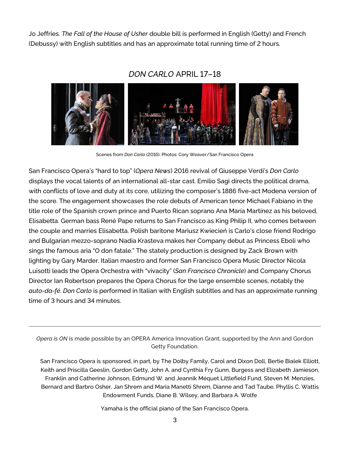Jo Jeffries. *The Fall of the House of Usher* double bill is performed in English (Getty) and French (Debussy) with English subtitles and has an approximate total running time of 2 hours.

#### *DON CARLO* APRIL 17–18



Scenes from *Don Carlo* (2016). Photos: Cory Weaver/San Francisco Opera

San Francisco Opera's "hard to top" (*Opera News*) 2016 revival of Giuseppe Verdi's *Don Carlo* displays the vocal talents of an international all-star cast. Emilio Sagi directs the political drama, with conflicts of love and duty at its core, utilizing the composer's 1886 five-act Modena version of the score. The engagement showcases the role debuts of American tenor Michael Fabiano in the title role of the Spanish crown prince and Puerto Rican soprano Ana María Martínez as his beloved, Elisabetta. German bass René Pape returns to San Francisco as King Philip II, who comes between the couple and marries Elisabetta. Polish baritone Mariusz Kwiecień is Carlo's close friend Rodrigo and Bulgarian mezzo-soprano Nadia Krasteva makes her Company debut as Princess Eboli who sings the famous aria "O don fatale." The stately production is designed by Zack Brown with lighting by Gary Marder. Italian maestro and former San Francisco Opera Music Director Nicola Luisotti leads the Opera Orchestra with "vivacity" (*San Francisco Chronicle*) and Company Chorus Director Ian Robertson prepares the Opera Chorus for the large ensemble scenes, notably the *auto-da-fé*. *Don Carlo* is performed in Italian with English subtitles and has an approximate running time of 3 hours and 34 minutes.

*Opera is ON* is made possible by an OPERA America Innovation Grant, supported by the Ann and Gordon Getty Foundation.

San Francisco Opera is sponsored, in part, by The Dolby Family, Carol and Dixon Doll, Bertie Bialek Elliott, Keith and Priscilla Geeslin, Gordon Getty, John A. and Cynthia Fry Gunn, Burgess and Elizabeth Jamieson, Franklin and Catherine Johnson, Edmund W. and Jeannik Méquet Littlefield Fund, Steven M. Menzies, Bernard and Barbro Osher, Jan Shrem and Maria Manetti Shrem, Dianne and Tad Taube, Phyllis C. Wattis Endowment Funds, Diane B. Wilsey, and Barbara A. Wolfe

Yamaha is the official piano of the San Francisco Opera.